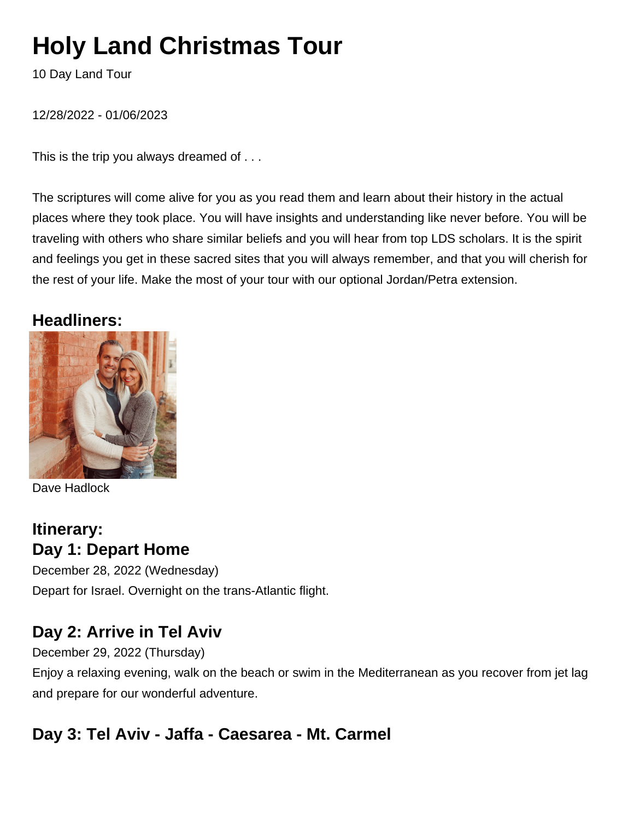# **Holy Land Christmas Tour**

10 Day Land Tour

12/28/2022 - 01/06/2023

This is the trip you always dreamed of . . .

The scriptures will come alive for you as you read them and learn about their history in the actual places where they took place. You will have insights and understanding like never before. You will be traveling with others who share similar beliefs and you will hear from top LDS scholars. It is the spirit and feelings you get in these sacred sites that you will always remember, and that you will cherish for the rest of your life. Make the most of your tour with our optional Jordan/Petra extension.

### **Headliners:**



Dave Hadlock

# **Itinerary: Day 1: Depart Home**

December 28, 2022 (Wednesday) Depart for Israel. Overnight on the trans-Atlantic flight.

# **Day 2: Arrive in Tel Aviv**

December 29, 2022 (Thursday)

Enjoy a relaxing evening, walk on the beach or swim in the Mediterranean as you recover from jet lag and prepare for our wonderful adventure.

### **Day 3: Tel Aviv - Jaffa - Caesarea - Mt. Carmel**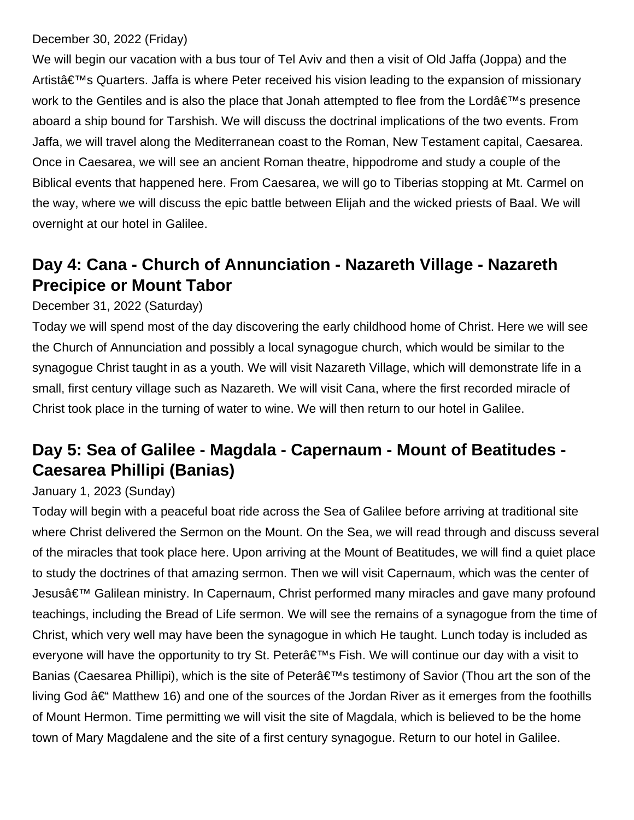#### December 30, 2022 (Friday)

We will begin our vacation with a bus tour of Tel Aviv and then a visit of Old Jaffa (Joppa) and the Artist's Quarters. Jaffa is where Peter received his vision leading to the expansion of missionary work to the Gentiles and is also the place that Jonah attempted to flee from the Lord $\hat{\mathbf{a}} \in \mathbb{N}^N$ s presence aboard a ship bound for Tarshish. We will discuss the doctrinal implications of the two events. From Jaffa, we will travel along the Mediterranean coast to the Roman, New Testament capital, Caesarea. Once in Caesarea, we will see an ancient Roman theatre, hippodrome and study a couple of the Biblical events that happened here. From Caesarea, we will go to Tiberias stopping at Mt. Carmel on the way, where we will discuss the epic battle between Elijah and the wicked priests of Baal. We will overnight at our hotel in Galilee.

# **Day 4: Cana - Church of Annunciation - Nazareth Village - Nazareth Precipice or Mount Tabor**

### December 31, 2022 (Saturday)

Today we will spend most of the day discovering the early childhood home of Christ. Here we will see the Church of Annunciation and possibly a local synagogue church, which would be similar to the synagogue Christ taught in as a youth. We will visit Nazareth Village, which will demonstrate life in a small, first century village such as Nazareth. We will visit Cana, where the first recorded miracle of Christ took place in the turning of water to wine. We will then return to our hotel in Galilee.

## **Day 5: Sea of Galilee - Magdala - Capernaum - Mount of Beatitudes - Caesarea Phillipi (Banias)**

### January 1, 2023 (Sunday)

Today will begin with a peaceful boat ride across the Sea of Galilee before arriving at traditional site where Christ delivered the Sermon on the Mount. On the Sea, we will read through and discuss several of the miracles that took place here. Upon arriving at the Mount of Beatitudes, we will find a quiet place to study the doctrines of that amazing sermon. Then we will visit Capernaum, which was the center of Jesusâ€<sup>™</sup> Galilean ministry. In Capernaum, Christ performed many miracles and gave many profound teachings, including the Bread of Life sermon. We will see the remains of a synagogue from the time of Christ, which very well may have been the synagogue in which He taught. Lunch today is included as everyone will have the opportunity to try St. Peter's Fish. We will continue our day with a visit to Banias (Caesarea Phillipi), which is the site of Peter's testimony of Savior (Thou art the son of the living God  $\hat{a}\in$  Matthew 16) and one of the sources of the Jordan River as it emerges from the foothills of Mount Hermon. Time permitting we will visit the site of Magdala, which is believed to be the home town of Mary Magdalene and the site of a first century synagogue. Return to our hotel in Galilee.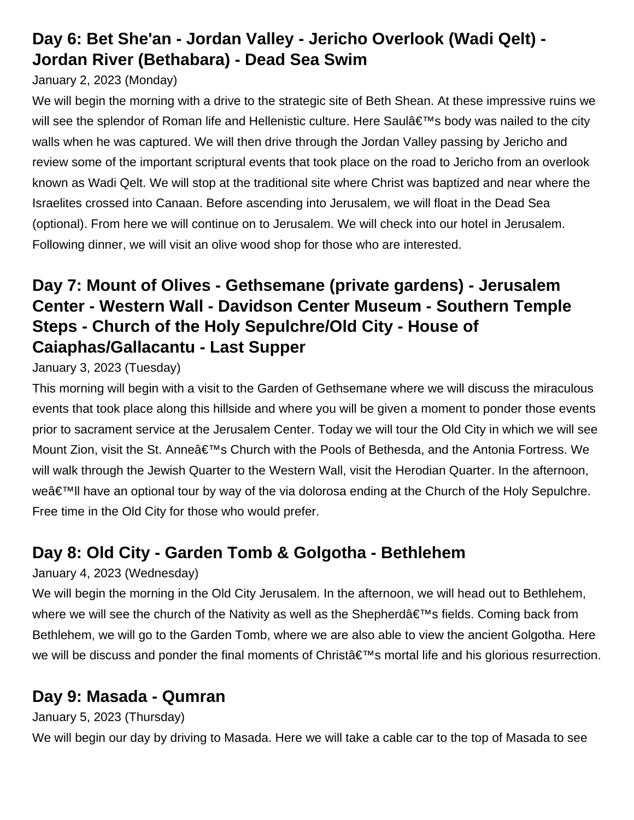# **Day 6: Bet She'an - Jordan Valley - Jericho Overlook (Wadi Qelt) - Jordan River (Bethabara) - Dead Sea Swim**

### January 2, 2023 (Monday)

We will begin the morning with a drive to the strategic site of Beth Shean. At these impressive ruins we will see the splendor of Roman life and Hellenistic culture. Here Saul's body was nailed to the city walls when he was captured. We will then drive through the Jordan Valley passing by Jericho and review some of the important scriptural events that took place on the road to Jericho from an overlook known as Wadi Qelt. We will stop at the traditional site where Christ was baptized and near where the Israelites crossed into Canaan. Before ascending into Jerusalem, we will float in the Dead Sea (optional). From here we will continue on to Jerusalem. We will check into our hotel in Jerusalem. Following dinner, we will visit an olive wood shop for those who are interested.

# **Day 7: Mount of Olives - Gethsemane (private gardens) - Jerusalem Center - Western Wall - Davidson Center Museum - Southern Temple Steps - Church of the Holy Sepulchre/Old City - House of Caiaphas/Gallacantu - Last Supper**

January 3, 2023 (Tuesday)

This morning will begin with a visit to the Garden of Gethsemane where we will discuss the miraculous events that took place along this hillside and where you will be given a moment to ponder those events prior to sacrament service at the Jerusalem Center. Today we will tour the Old City in which we will see Mount Zion, visit the St. Anne's Church with the Pools of Bethesda, and the Antonia Fortress. We will walk through the Jewish Quarter to the Western Wall, visit the Herodian Quarter. In the afternoon, weâ€<sup>™</sup>ll have an optional tour by way of the via dolorosa ending at the Church of the Holy Sepulchre. Free time in the Old City for those who would prefer.

# **Day 8: Old City - Garden Tomb & Golgotha - Bethlehem**

### January 4, 2023 (Wednesday)

We will begin the morning in the Old City Jerusalem. In the afternoon, we will head out to Bethlehem, where we will see the church of the Nativity as well as the Shepherd's fields. Coming back from Bethlehem, we will go to the Garden Tomb, where we are also able to view the ancient Golgotha. Here we will be discuss and ponder the final moments of Christ $\hat{a} \in \mathbb{N}$ s mortal life and his glorious resurrection.

# **Day 9: Masada - Qumran**

### January 5, 2023 (Thursday)

We will begin our day by driving to Masada. Here we will take a cable car to the top of Masada to see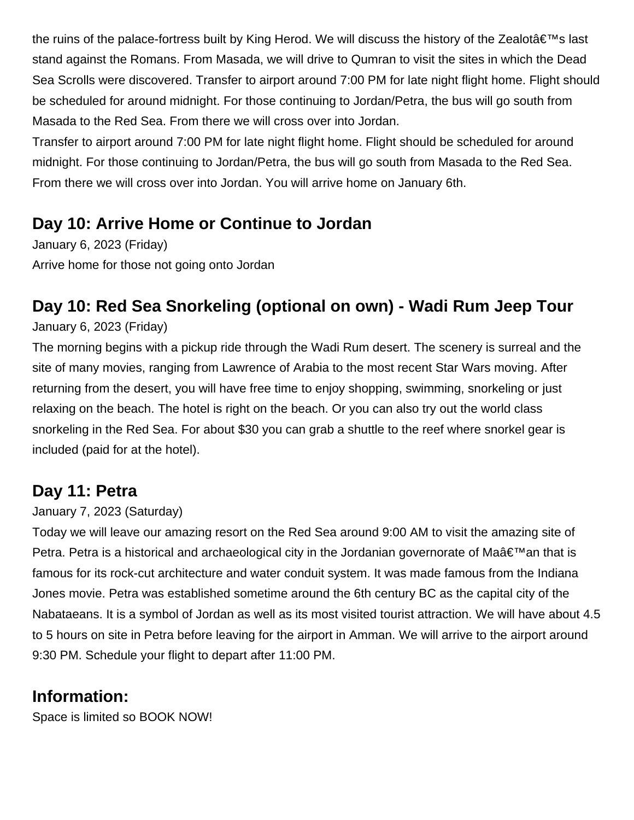the ruins of the palace-fortress built by King Herod. We will discuss the history of the Zealot $\hat{a} \in \mathbb{N}$ s last stand against the Romans. From Masada, we will drive to Qumran to visit the sites in which the Dead Sea Scrolls were discovered. Transfer to airport around 7:00 PM for late night flight home. Flight should be scheduled for around midnight. For those continuing to Jordan/Petra, the bus will go south from Masada to the Red Sea. From there we will cross over into Jordan.

Transfer to airport around 7:00 PM for late night flight home. Flight should be scheduled for around midnight. For those continuing to Jordan/Petra, the bus will go south from Masada to the Red Sea. From there we will cross over into Jordan. You will arrive home on January 6th.

### **Day 10: Arrive Home or Continue to Jordan**

January 6, 2023 (Friday) Arrive home for those not going onto Jordan

# **Day 10: Red Sea Snorkeling (optional on own) - Wadi Rum Jeep Tour**

January 6, 2023 (Friday)

The morning begins with a pickup ride through the Wadi Rum desert. The scenery is surreal and the site of many movies, ranging from Lawrence of Arabia to the most recent Star Wars moving. After returning from the desert, you will have free time to enjoy shopping, swimming, snorkeling or just relaxing on the beach. The hotel is right on the beach. Or you can also try out the world class snorkeling in the Red Sea. For about \$30 you can grab a shuttle to the reef where snorkel gear is included (paid for at the hotel).

### **Day 11: Petra**

January 7, 2023 (Saturday)

Today we will leave our amazing resort on the Red Sea around 9:00 AM to visit the amazing site of Petra. Petra is a historical and archaeological city in the Jordanian governorate of Ma $\hat{a} \in \mathbb{N}$ an that is famous for its rock-cut architecture and water conduit system. It was made famous from the Indiana Jones movie. Petra was established sometime around the 6th century BC as the capital city of the Nabataeans. It is a symbol of Jordan as well as its most visited tourist attraction. We will have about 4.5 to 5 hours on site in Petra before leaving for the airport in Amman. We will arrive to the airport around 9:30 PM. Schedule your flight to depart after 11:00 PM.

### **Information:**

Space is limited so BOOK NOW!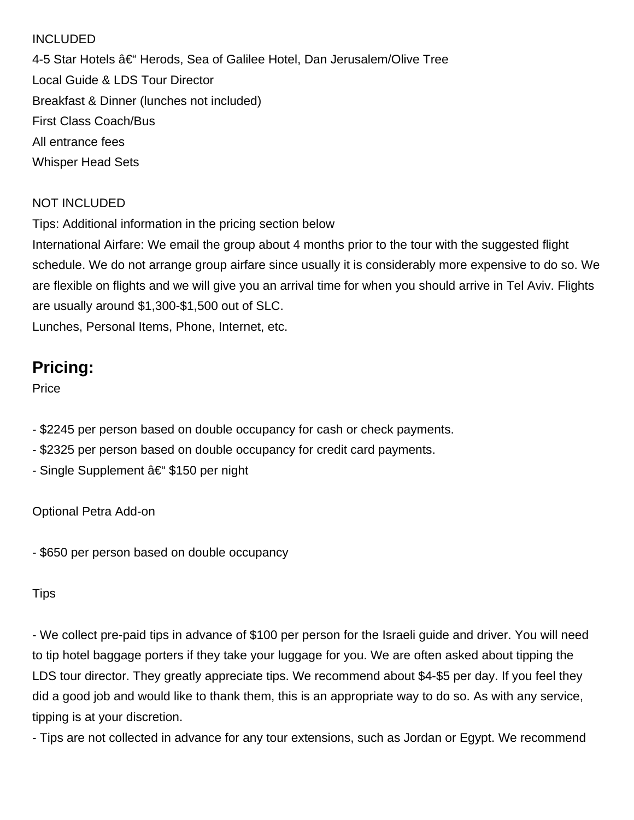#### INCLUDED

4-5 Star Hotels – Herods, Sea of Galilee Hotel, Dan Jerusalem/Olive Tree Local Guide & LDS Tour Director Breakfast & Dinner (lunches not included) First Class Coach/Bus All entrance fees Whisper Head Sets

#### NOT INCLUDED

Tips: Additional information in the pricing section below

International Airfare: We email the group about 4 months prior to the tour with the suggested flight schedule. We do not arrange group airfare since usually it is considerably more expensive to do so. We are flexible on flights and we will give you an arrival time for when you should arrive in Tel Aviv. Flights are usually around \$1,300-\$1,500 out of SLC. Lunches, Personal Items, Phone, Internet, etc.

### **Pricing:**

**Price** 

- \$2245 per person based on double occupancy for cash or check payments.
- \$2325 per person based on double occupancy for credit card payments.
- Single Supplement  $a \in$  \$150 per night

Optional Petra Add-on

- \$650 per person based on double occupancy

#### Tips

- We collect pre-paid tips in advance of \$100 per person for the Israeli guide and driver. You will need to tip hotel baggage porters if they take your luggage for you. We are often asked about tipping the LDS tour director. They greatly appreciate tips. We recommend about \$4-\$5 per day. If you feel they did a good job and would like to thank them, this is an appropriate way to do so. As with any service, tipping is at your discretion.

- Tips are not collected in advance for any tour extensions, such as Jordan or Egypt. We recommend